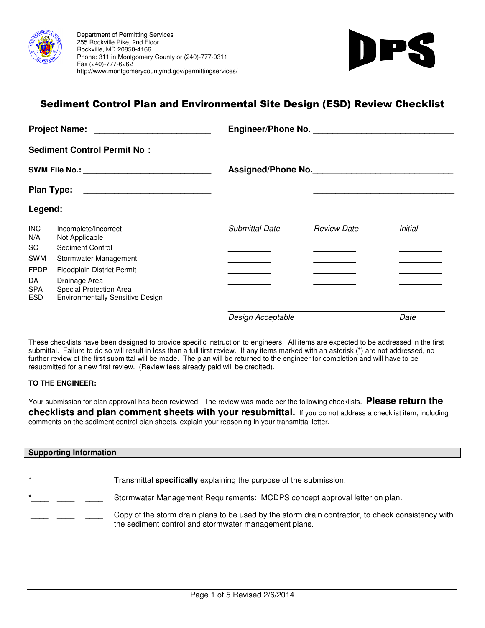



# Sediment Control Plan and Environmental Site Design (ESD) Review Checklist

|                                                           | <b>Project Name:</b>                                                                | Engineer/Phone No.    |                    |                |  |
|-----------------------------------------------------------|-------------------------------------------------------------------------------------|-----------------------|--------------------|----------------|--|
|                                                           | Sediment Control Permit No: __________                                              |                       |                    |                |  |
|                                                           | SWM File No.: _____________________________                                         | Assigned/Phone No.    |                    |                |  |
| <b>Plan Type:</b><br><u> 1980 - Jan Barbara (j. 1980)</u> |                                                                                     |                       |                    |                |  |
| Legend:                                                   |                                                                                     |                       |                    |                |  |
| <b>INC</b><br>N/A                                         | Incomplete/Incorrect<br>Not Applicable                                              | <b>Submittal Date</b> | <b>Review Date</b> | <b>Initial</b> |  |
| SC                                                        | Sediment Control                                                                    |                       |                    |                |  |
| <b>SWM</b>                                                | Stormwater Management                                                               |                       |                    |                |  |
| <b>FPDP</b>                                               | Floodplain District Permit                                                          |                       |                    |                |  |
| DA<br><b>SPA</b><br><b>ESD</b>                            | Drainage Area<br>Special Protection Area<br><b>Environmentally Sensitive Design</b> |                       |                    |                |  |
|                                                           |                                                                                     | Design Acceptable     |                    | Date           |  |

These checklists have been designed to provide specific instruction to engineers. All items are expected to be addressed in the first submittal. Failure to do so will result in less than a full first review. If any items marked with an asterisk (\*) are not addressed, no further review of the first submittal will be made. The plan will be returned to the engineer for completion and will have to be resubmitted for a new first review. (Review fees already paid will be credited).

#### **TO THE ENGINEER:**

Your submission for plan approval has been reviewed. The review was made per the following checklists. **Please return the checklists and plan comment sheets with your resubmittal.** If you do not address a checklist item, including comments on the sediment control plan sheets, explain your reasoning in your transmittal letter.

### **Supporting Information**

| $\star$ |  | Transmittal <b>specifically</b> explaining the purpose of the submission.                                                                                  |
|---------|--|------------------------------------------------------------------------------------------------------------------------------------------------------------|
| $\star$ |  | Stormwater Management Requirements: MCDPS concept approval letter on plan.                                                                                 |
|         |  | Copy of the storm drain plans to be used by the storm drain contractor, to check consistency with<br>the sediment control and stormwater management plans. |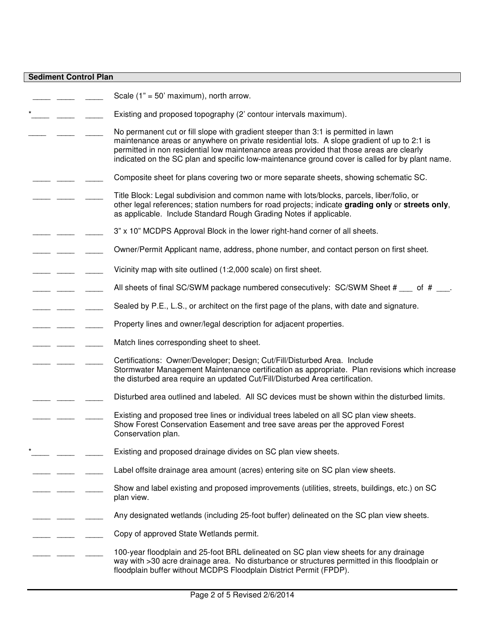#### **Sediment Control Plan**

Scale (1" = 50' maximum), north arrow. Existing and proposed topography (2' contour intervals maximum). No permanent cut or fill slope with gradient steeper than 3:1 is permitted in lawn maintenance areas or anywhere on private residential lots. A slope gradient of up to 2:1 is permitted in non residential low maintenance areas provided that those areas are clearly indicated on the SC plan and specific low-maintenance ground cover is called for by plant name. Composite sheet for plans covering two or more separate sheets, showing schematic SC. Title Block: Legal subdivision and common name with lots/blocks, parcels, liber/folio, or other legal references; station numbers for road projects; indicate **grading only** or **streets only**, as applicable. Include Standard Rough Grading Notes if applicable. 3" x 10" MCDPS Approval Block in the lower right-hand corner of all sheets. Owner/Permit Applicant name, address, phone number, and contact person on first sheet. Vicinity map with site outlined (1:2,000 scale) on first sheet. All sheets of final SC/SWM package numbered consecutively: SC/SWM Sheet # of # . Sealed by P.E., L.S., or architect on the first page of the plans, with date and signature. Property lines and owner/legal description for adjacent properties. Match lines corresponding sheet to sheet. Certifications: Owner/Developer; Design; Cut/Fill/Disturbed Area. Include Stormwater Management Maintenance certification as appropriate. Plan revisions which increase the disturbed area require an updated Cut/Fill/Disturbed Area certification. Disturbed area outlined and labeled. All SC devices must be shown within the disturbed limits. Existing and proposed tree lines or individual trees labeled on all SC plan view sheets. Show Forest Conservation Easement and tree save areas per the approved Forest Conservation plan. Existing and proposed drainage divides on SC plan view sheets. Label offsite drainage area amount (acres) entering site on SC plan view sheets. Show and label existing and proposed improvements (utilities, streets, buildings, etc.) on SC plan view. Any designated wetlands (including 25-foot buffer) delineated on the SC plan view sheets. Copy of approved State Wetlands permit. 100-year floodplain and 25-foot BRL delineated on SC plan view sheets for any drainage way with >30 acre drainage area. No disturbance or structures permitted in this floodplain or floodplain buffer without MCDPS Floodplain District Permit (FPDP).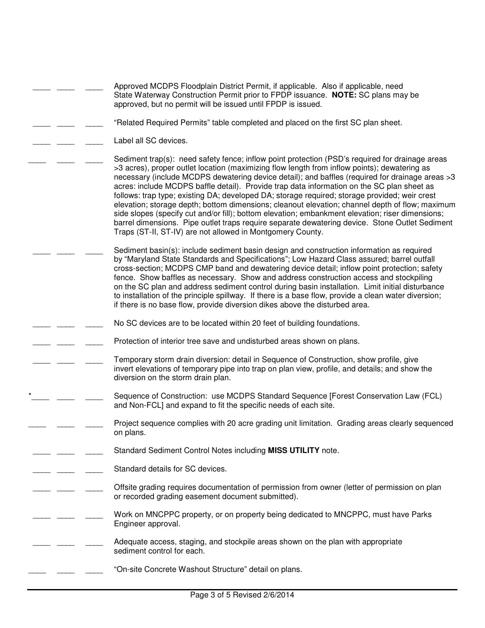|  | Approved MCDPS Floodplain District Permit, if applicable. Also if applicable, need<br>State Waterway Construction Permit prior to FPDP issuance. NOTE: SC plans may be<br>approved, but no permit will be issued until FPDP is issued.                                                                                                                                                                                                                                                                                                                                                                                                                                                                                                                                                                                                                                   |
|--|--------------------------------------------------------------------------------------------------------------------------------------------------------------------------------------------------------------------------------------------------------------------------------------------------------------------------------------------------------------------------------------------------------------------------------------------------------------------------------------------------------------------------------------------------------------------------------------------------------------------------------------------------------------------------------------------------------------------------------------------------------------------------------------------------------------------------------------------------------------------------|
|  | "Related Required Permits" table completed and placed on the first SC plan sheet.                                                                                                                                                                                                                                                                                                                                                                                                                                                                                                                                                                                                                                                                                                                                                                                        |
|  | Label all SC devices.                                                                                                                                                                                                                                                                                                                                                                                                                                                                                                                                                                                                                                                                                                                                                                                                                                                    |
|  | Sediment trap(s): need safety fence; inflow point protection (PSD's required for drainage areas<br>>3 acres), proper outlet location (maximizing flow length from inflow points); dewatering as<br>necessary (include MCDPS dewatering device detail); and baffles (required for drainage areas >3<br>acres: include MCDPS baffle detail). Provide trap data information on the SC plan sheet as<br>follows: trap type; existing DA; developed DA; storage required; storage provided; weir crest<br>elevation; storage depth; bottom dimensions; cleanout elevation; channel depth of flow; maximum<br>side slopes (specify cut and/or fill); bottom elevation; embankment elevation; riser dimensions;<br>barrel dimensions. Pipe outlet traps require separate dewatering device. Stone Outlet Sediment<br>Traps (ST-II, ST-IV) are not allowed in Montgomery County. |
|  | Sediment basin(s): include sediment basin design and construction information as required<br>by "Maryland State Standards and Specifications"; Low Hazard Class assured; barrel outfall<br>cross-section; MCDPS CMP band and dewatering device detail; inflow point protection; safety<br>fence. Show baffles as necessary. Show and address construction access and stockpiling<br>on the SC plan and address sediment control during basin installation. Limit initial disturbance<br>to installation of the principle spillway. If there is a base flow, provide a clean water diversion;<br>if there is no base flow, provide diversion dikes above the disturbed area.                                                                                                                                                                                              |
|  | No SC devices are to be located within 20 feet of building foundations.                                                                                                                                                                                                                                                                                                                                                                                                                                                                                                                                                                                                                                                                                                                                                                                                  |
|  | Protection of interior tree save and undisturbed areas shown on plans.                                                                                                                                                                                                                                                                                                                                                                                                                                                                                                                                                                                                                                                                                                                                                                                                   |
|  | Temporary storm drain diversion: detail in Sequence of Construction, show profile, give<br>invert elevations of temporary pipe into trap on plan view, profile, and details; and show the<br>diversion on the storm drain plan.                                                                                                                                                                                                                                                                                                                                                                                                                                                                                                                                                                                                                                          |
|  | Sequence of Construction: use MCDPS Standard Sequence [Forest Conservation Law (FCL)<br>and Non-FCL] and expand to fit the specific needs of each site.                                                                                                                                                                                                                                                                                                                                                                                                                                                                                                                                                                                                                                                                                                                  |
|  | Project sequence complies with 20 acre grading unit limitation. Grading areas clearly sequenced<br>on plans.                                                                                                                                                                                                                                                                                                                                                                                                                                                                                                                                                                                                                                                                                                                                                             |
|  | Standard Sediment Control Notes including MISS UTILITY note.                                                                                                                                                                                                                                                                                                                                                                                                                                                                                                                                                                                                                                                                                                                                                                                                             |
|  | Standard details for SC devices.                                                                                                                                                                                                                                                                                                                                                                                                                                                                                                                                                                                                                                                                                                                                                                                                                                         |
|  | Offsite grading requires documentation of permission from owner (letter of permission on plan<br>or recorded grading easement document submitted).                                                                                                                                                                                                                                                                                                                                                                                                                                                                                                                                                                                                                                                                                                                       |
|  | Work on MNCPPC property, or on property being dedicated to MNCPPC, must have Parks<br>Engineer approval.                                                                                                                                                                                                                                                                                                                                                                                                                                                                                                                                                                                                                                                                                                                                                                 |
|  | Adequate access, staging, and stockpile areas shown on the plan with appropriate<br>sediment control for each.                                                                                                                                                                                                                                                                                                                                                                                                                                                                                                                                                                                                                                                                                                                                                           |
|  | "On-site Concrete Washout Structure" detail on plans.                                                                                                                                                                                                                                                                                                                                                                                                                                                                                                                                                                                                                                                                                                                                                                                                                    |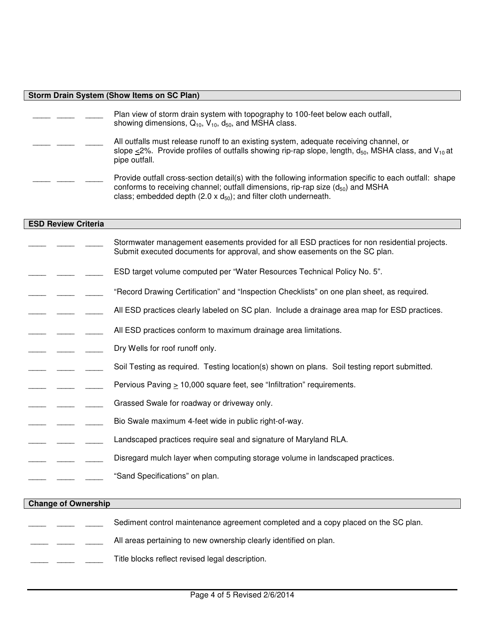#### **Storm Drain System (Show Items on SC Plan)**

| Plan view of storm drain system with topography to 100-feet below each outfall,<br>showing dimensions, $Q_{10}$ , $V_{10}$ , $d_{50}$ , and MSHA class.                                                                  |
|--------------------------------------------------------------------------------------------------------------------------------------------------------------------------------------------------------------------------|
| All outfalls must release runoff to an existing system, adequate receiving channel, or<br>slope <2%. Provide profiles of outfalls showing rip-rap slope, length, $d_{50}$ , MSHA class, and $V_{10}$ at<br>pipe outfall. |
| Provide outfall cross-section detail(s) with the following information specific to each outfall: shape<br>conforms to receiving channel; outfall dimensions, rip-rap size $(d_{50})$ and MSHA                            |

class; embedded depth  $(2.0 \times d_{50})$ ; and filter cloth underneath.

#### **ESD Review Criteria**

- Stormwater management easements provided for all ESD practices for non residential projects. Submit executed documents for approval, and show easements on the SC plan.
- ESD target volume computed per "Water Resources Technical Policy No. 5".
- \_\_\_\_ \_\_\_\_ \_\_\_\_ "Record Drawing Certification" and "Inspection Checklists" on one plan sheet, as required.
- All ESD practices clearly labeled on SC plan. Include a drainage area map for ESD practices.
- All ESD practices conform to maximum drainage area limitations.
- Dry Wells for roof runoff only.
- Soil Testing as required. Testing location(s) shown on plans. Soil testing report submitted.
- Pervious Paving > 10,000 square feet, see "Infiltration" requirements.
- Grassed Swale for roadway or driveway only.
- Bio Swale maximum 4-feet wide in public right-of-way.
- Landscaped practices require seal and signature of Maryland RLA.
- Disregard mulch layer when computing storage volume in landscaped practices.
- "Sand Specifications" on plan.

#### **Change of Ownership**

- Sediment control maintenance agreement completed and a copy placed on the SC plan.
- All areas pertaining to new ownership clearly identified on plan.
- Title blocks reflect revised legal description.